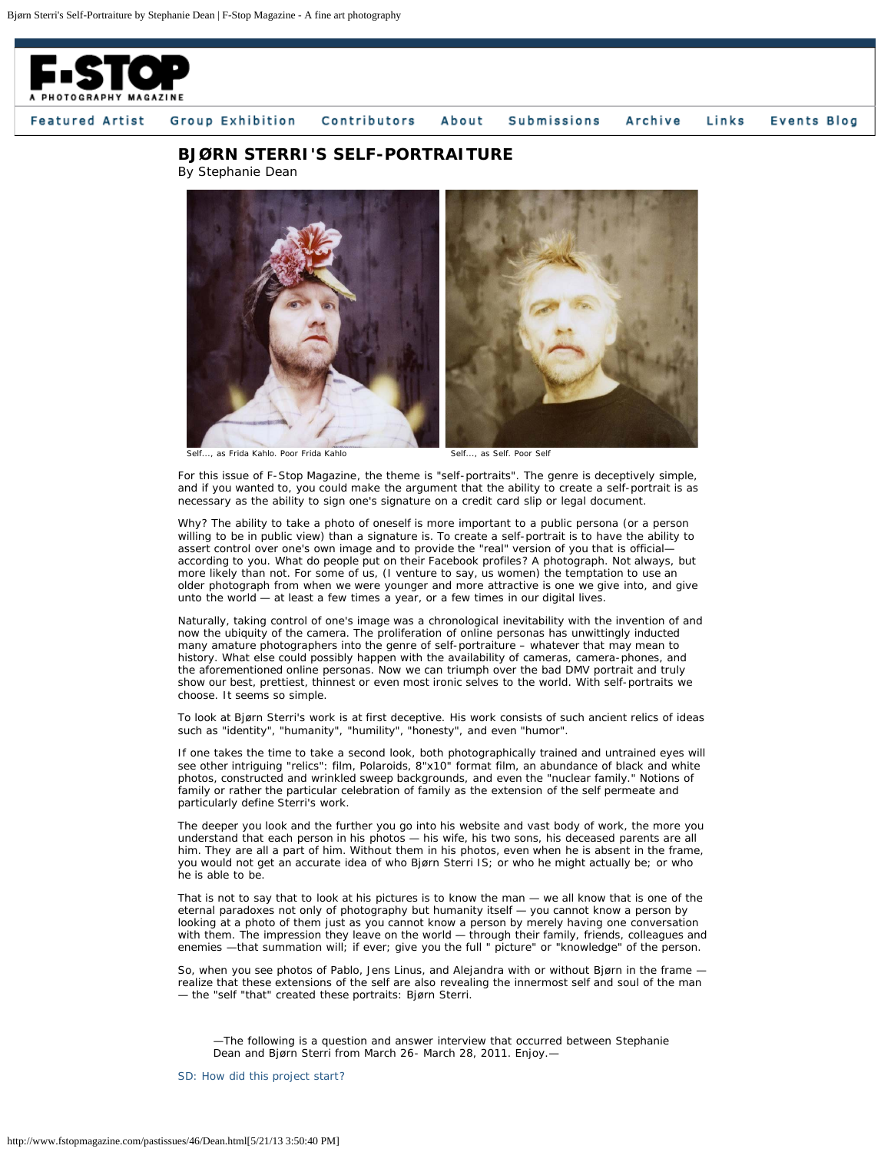

## **Events Blog** Featured Artist Group Exhibition Contributors About **Submissions** Archive Links

## **BJØRN STERRI'S SELF-PORTRAITURE**

By Stephanie Dean



Self..., as Frida Kahlo. Poor Frida Kahlo **Self..., as Self. Poor Self.** 

For this issue of *F-Stop Magazine*, the theme is "self-portraits". The genre is deceptively simple, and if you wanted to, you could make the argument that the ability to create a self-portrait is as necessary as the ability to sign one's signature on a credit card slip or legal document.

Why? The ability to take a photo of oneself is more important to a public persona (or a person willing to be in public view) than a signature is. To create a self-portrait is to have the ability to assert control over one's own image and to provide the "real" version of you that is official according to you. What do people put on their Facebook profiles? A photograph. Not always, but more likely than not. For some of us, (I venture to say, us women) the temptation to use an older photograph from when we were younger and more attractive is one we give into, and give unto the world - at least a few times a year, or a few times in our digital lives.

Naturally, taking control of one's image was a chronological inevitability with the invention of and now the ubiquity of the camera. The proliferation of online personas has unwittingly inducted many amature photographers into the genre of self-portraiture – whatever that may mean to history. What else could possibly happen with the availability of cameras, camera-phones, and the aforementioned online personas. Now we can triumph over the bad DMV portrait and truly show our best, prettiest, thinnest or even most ironic selves to the world. With self-portraits we choose. It seems so simple.

To look at Bjørn Sterri's work is at first deceptive. His work consists of such ancient relics of ideas such as "identity", "humanity", "humility", "honesty", and even "humor".

If one takes the time to take a second look, both photographically trained and untrained eyes will see other intriguing "relics": film, Polaroids, 8"x10" format film, an abundance of black and white photos, constructed and wrinkled sweep backgrounds, and even the "nuclear family." Notions of family or rather the particular celebration of family as the extension of the self permeate and particularly define Sterri's work.

The deeper you look and the further you go into his website and vast body of work, the more you understand that each person in his photos — his wife, his two sons, his deceased parents are all him. They are all a part of him. Without them in his photos, even when he is absent in the frame, you would not get an accurate idea of who Bjørn Sterri IS; or who he might actually be; or who he is able to be.

That is not to say that to look at his pictures is to know the man — we all know that is one of the eternal paradoxes not only of photography but humanity itself — you cannot know a person by looking at a photo of them just as you cannot know a person by merely having one conversation with them. The impression they leave on the world — through their family, friends, colleagues and enemies —that summation will; if ever; give you the full " picture" or "knowledge" of the person.

So, when you see photos of Pablo, Jens Linus, and Alejandra with or without Bjørn in the frame realize that these extensions of the self are also revealing the innermost self and soul of the man — the "self "that" created these portraits: Bjørn Sterri.

—The following is a question and answer interview that occurred between Stephanie Dean and Bjørn Sterri from March 26- March 28, 2011. Enjoy.—

*SD: How did this project start?*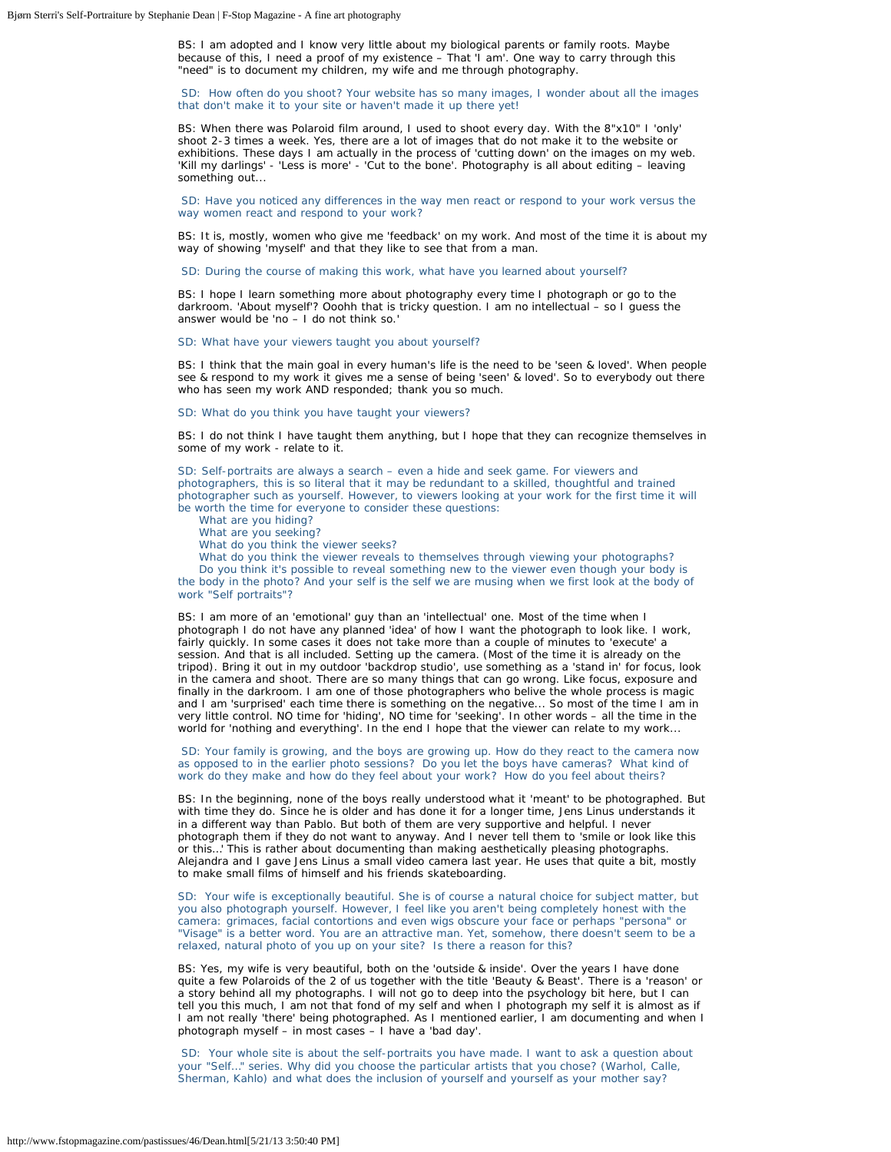BS: I am adopted and I know very little about my biological parents or family roots. Maybe because of this, I need a proof of my existence – That 'I am'. One way to carry through this "need" is to document my children, my wife and me through photography.

*SD: How often do you shoot? Your website has so many images, I wonder about all the images that don't make it to your site or haven't made it up there yet!*

BS: When there was Polaroid film around, I used to shoot every day. With the 8"x10" I 'only' shoot 2-3 times a week. Yes, there are a lot of images that do not make it to the website or exhibitions. These days I am actually in the process of 'cutting down' on the images on my web. 'Kill my darlings' - 'Less is more' - 'Cut to the bone'. Photography is all about editing – leaving something out...

*SD: Have you noticed any differences in the way men react or respond to your work versus the way women react and respond to your work?*

BS: It is, mostly, women who give me 'feedback' on my work. And most of the time it is about my way of showing 'myself' and that they like to see that from a man.

*SD: During the course of making this work, what have you learned about yourself?*

BS: I hope I learn something more about photography every time I photograph or go to the darkroom. 'About myself'? Ooohh that is tricky question. I am no intellectual – so I guess the answer would be 'no – I do not think so.'

*SD: What have your viewers taught you about yourself?*

BS: I think that the main goal in every human's life is the need to be 'seen & loved'. When people see & respond to my work it gives me a sense of being 'seen' & loved'. So to everybody out there who has seen my work AND responded; thank you so much.

*SD: What do you think you have taught your viewers?*

BS: I do not think I have taught them anything, but I hope that they can recognize themselves in some of my work - relate to it.

*SD: Self-portraits are always a search – even a hide and seek game. For viewers and photographers, this is so literal that it may be redundant to a skilled, thoughtful and trained photographer such as yourself. However, to viewers looking at your work for the first time it will be worth the time for everyone to consider these questions:*

 *What are you hiding?*

 *What are you seeking?*

 *What do you think the viewer seeks?*

 *What do you think the viewer reveals to themselves through viewing your photographs? Do you think it's possible to reveal something new to the viewer even though your body is the body in the photo? And your self is the self we are musing when we first look at the body of work "Self portraits"?*

BS: I am more of an 'emotional' guy than an 'intellectual' one. Most of the time when I photograph I do not have any planned 'idea' of how I want the photograph to look like. I work, fairly quickly. In some cases it does not take more than a couple of minutes to 'execute' a session. And that is all included. Setting up the camera. (Most of the time it is already on the tripod). Bring it out in my outdoor 'backdrop studio', use something as a 'stand in' for focus, look in the camera and shoot. There are so many things that can go wrong. Like focus, exposure and finally in the darkroom. I am one of those photographers who belive the whole process is magic and I am 'surprised' each time there is something on the negative... So most of the time I am in very little control. NO time for 'hiding', NO time for 'seeking'. In other words – all the time in the world for 'nothing and everything'. In the end I hope that the viewer can relate to my work...

*SD: Your family is growing, and the boys are growing up. How do they react to the camera now as opposed to in the earlier photo sessions? Do you let the boys have cameras? What kind of work do they make and how do they feel about your work? How do you feel about theirs?*

BS: In the beginning, none of the boys really understood what it 'meant' to be photographed. But with time they do. Since he is older and has done it for a longer time, Jens Linus understands it in a different way than Pablo. But both of them are very supportive and helpful. I never photograph them if they do not want to anyway. And I never tell them to 'smile or look like this or this…' This is rather about documenting than making aesthetically pleasing photographs. Alejandra and I gave Jens Linus a small video camera last year. He uses that quite a bit, mostly to make small films of himself and his friends skateboarding.

*SD: Your wife is exceptionally beautiful. She is of course a natural choice for subject matter, but you also photograph yourself. However, I feel like you aren't being completely honest with the camera: grimaces, facial contortions and even wigs obscure your face or perhaps "persona" or "Visage" is a better word. You are an attractive man. Yet, somehow, there doesn't seem to be a relaxed, natural photo of you up on your site? Is there a reason for this?*

BS: Yes, my wife is very beautiful, both on the 'outside & inside'. Over the years I have done quite a few Polaroids of the 2 of us together with the title 'Beauty & Beast'. There is a 'reason' or a story behind all my photographs. I will not go to deep into the psychology bit here, but I can tell you this much, I am not that fond of my self and when I photograph my self it is almost as if I am not really 'there' being photographed. As I mentioned earlier, I am documenting and when I photograph myself – in most cases – I have a 'bad day'.

*SD: Your whole site is about the self-portraits you have made. I want to ask a question about your "Self…" series. Why did you choose the particular artists that you chose? (Warhol, Calle, Sherman, Kahlo) and what does the inclusion of yourself and yourself as your mother say?*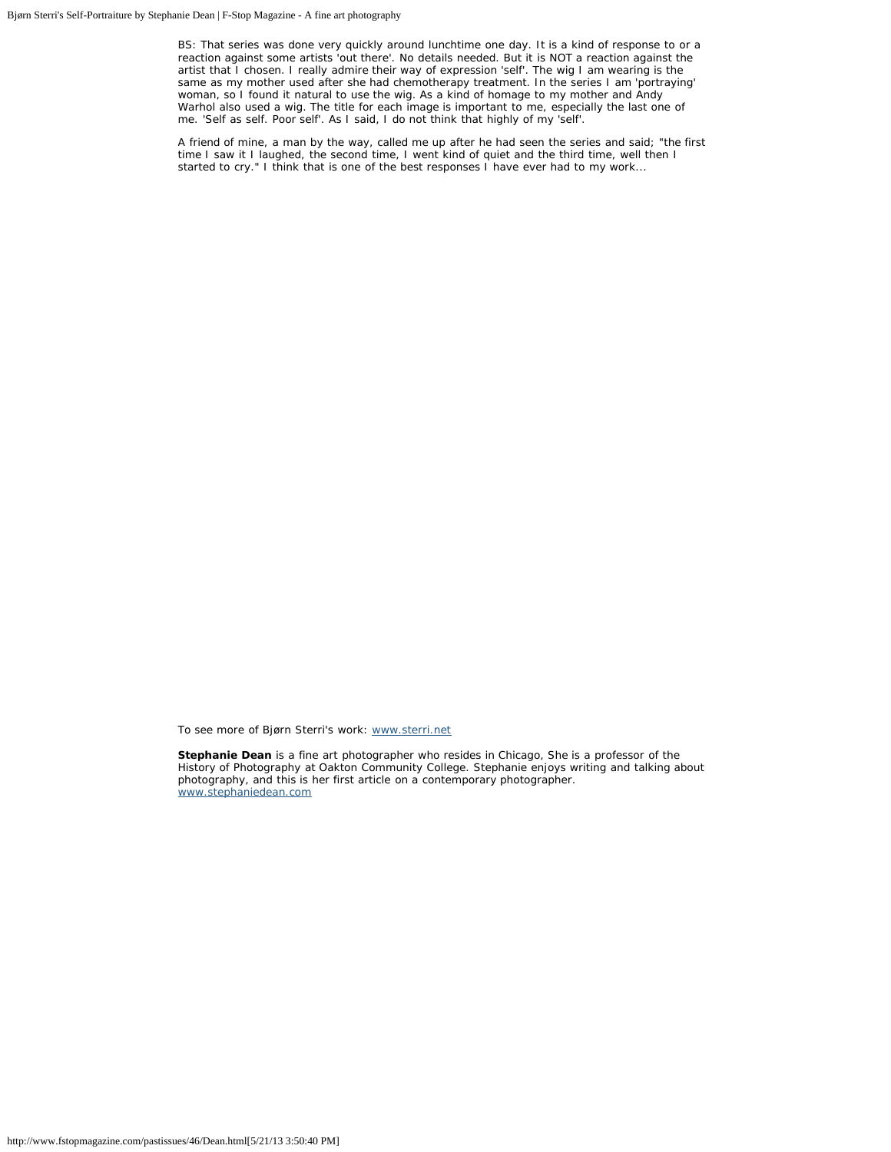BS: That series was done very quickly around lunchtime one day. It is a kind of response to or a reaction against some artists 'out there'. No details needed. But it is NOT a reaction against the artist that I chosen. I really admire their way of expression 'self'. The wig I am wearing is the same as my mother used after she had chemotherapy treatment. In the series I am 'portraying' woman, so I found it natural to use the wig. As a kind of homage to my mother and Andy Warhol also used a wig. The title for each image is important to me, especially the last one of me. 'Self as self. Poor self'. As I said, I do not think that highly of my 'self'.

A friend of mine, a man by the way, called me up after he had seen the series and said; "the first time I saw it I laughed, the second time, I went kind of quiet and the third time, well then I started to cry." I think that is one of the best responses I have ever had to my work...

To see more of Bjørn Sterri's work: [www.sterri.net](http://www.sterri.net/)

**Stephanie Dean** is a fine art photographer who resides in Chicago, She is a professor of the History of Photography at Oakton Community College. Stephanie enjoys writing and talking about photography, and this is her first article on a contemporary photographer. [www.stephaniedean.com](http://www.stephaniedean.com/)